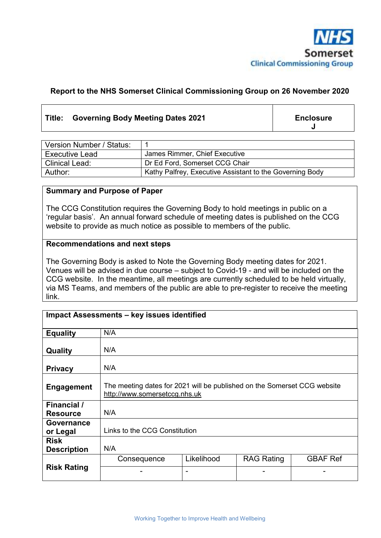

## **Report to the NHS Somerset Clinical Commissioning Group on 26 November 2020**

## Title: Governing Body Meeting Dates 2021 **Enclosure**

**J** 

| Version Number / Status: |                                                          |
|--------------------------|----------------------------------------------------------|
| <b>Executive Lead</b>    | James Rimmer, Chief Executive                            |
| <b>Clinical Lead:</b>    | Dr Ed Ford, Somerset CCG Chair                           |
| Author:                  | Kathy Palfrey, Executive Assistant to the Governing Body |

### **Summary and Purpose of Paper**

The CCG Constitution requires the Governing Body to hold meetings in public on a 'regular basis'. An annual forward schedule of meeting dates is published on the CCG website to provide as much notice as possible to members of the public.

#### **Recommendations and next steps**

The Governing Body is asked to Note the Governing Body meeting dates for 2021. Venues will be advised in due course – subject to Covid-19 - and will be included on the CCG website. In the meantime, all meetings are currently scheduled to be held virtually, via MS Teams, and members of the public are able to pre-register to receive the meeting link.

| Impact Assessments - key issues identified |                                                                                                           |            |                   |                 |  |
|--------------------------------------------|-----------------------------------------------------------------------------------------------------------|------------|-------------------|-----------------|--|
| <b>Equality</b>                            | N/A                                                                                                       |            |                   |                 |  |
| Quality                                    | N/A                                                                                                       |            |                   |                 |  |
| <b>Privacy</b>                             | N/A                                                                                                       |            |                   |                 |  |
| <b>Engagement</b>                          | The meeting dates for 2021 will be published on the Somerset CCG website<br>http://www.somersetccg.nhs.uk |            |                   |                 |  |
| Financial /<br><b>Resource</b>             | N/A                                                                                                       |            |                   |                 |  |
| Governance<br>or Legal                     | Links to the CCG Constitution                                                                             |            |                   |                 |  |
| <b>Risk</b><br><b>Description</b>          | N/A                                                                                                       |            |                   |                 |  |
|                                            | Consequence                                                                                               | Likelihood | <b>RAG Rating</b> | <b>GBAF Ref</b> |  |
| <b>Risk Rating</b>                         |                                                                                                           | -          |                   |                 |  |